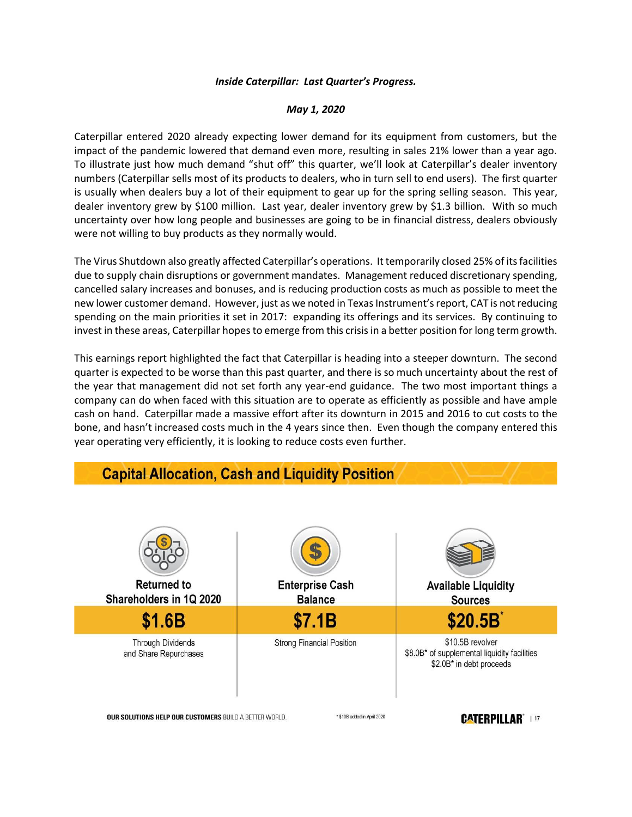## *Inside Caterpillar: Last Quarter's Progress.*

## *May 1, 2020*

Caterpillar entered 2020 already expecting lower demand for its equipment from customers, but the impact of the pandemic lowered that demand even more, resulting in sales 21% lower than a year ago. To illustrate just how much demand "shut off" this quarter, we'll look at Caterpillar's dealer inventory numbers (Caterpillar sells most of its products to dealers, who in turn sell to end users). The first quarter is usually when dealers buy a lot of their equipment to gear up for the spring selling season. This year, dealer inventory grew by \$100 million. Last year, dealer inventory grew by \$1.3 billion. With so much uncertainty over how long people and businesses are going to be in financial distress, dealers obviously were not willing to buy products as they normally would.

The Virus Shutdown also greatly affected Caterpillar's operations. It temporarily closed 25% of its facilities due to supply chain disruptions or government mandates. Management reduced discretionary spending, cancelled salary increases and bonuses, and is reducing production costs as much as possible to meet the new lower customer demand. However, just as we noted in Texas Instrument's report, CAT is not reducing spending on the main priorities it set in 2017: expanding its offerings and its services. By continuing to invest in these areas, Caterpillar hopes to emerge from this crisis in a better position for long term growth.

This earnings report highlighted the fact that Caterpillar is heading into a steeper downturn. The second quarter is expected to be worse than this past quarter, and there is so much uncertainty about the rest of the year that management did not set forth any year-end guidance. The two most important things a company can do when faced with this situation are to operate as efficiently as possible and have ample cash on hand. Caterpillar made a massive effort after its downturn in 2015 and 2016 to cut costs to the bone, and hasn't increased costs much in the 4 years since then. Even though the company entered this year operating very efficiently, it is looking to reduce costs even further.



OUR SOLUTIONS HELP OUR CUSTOMERS BUILD A BETTER WORLD.

\* \$10B added in April 2020

## **CATERPILLAR**<sup>\*</sup> | 17